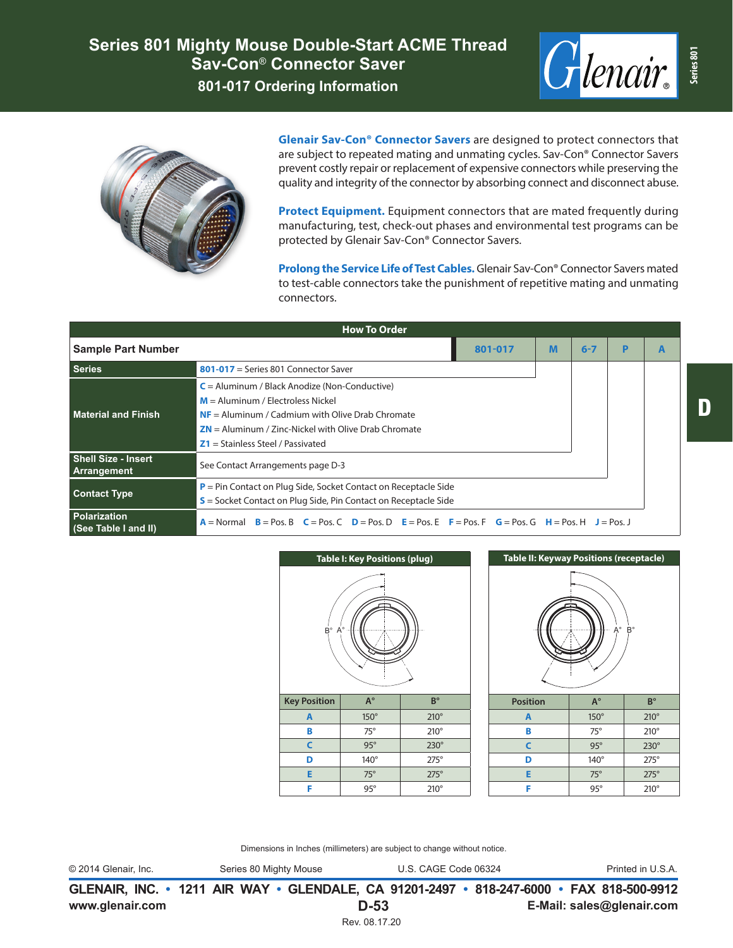



**Glenair Sav-Con® Connector Savers** are designed to protect connectors that are subject to repeated mating and unmating cycles. Sav-Con® Connector Savers prevent costly repair or replacement of expensive connectors while preserving the quality and integrity of the connector by absorbing connect and disconnect abuse.

**Protect Equipment.** Equipment connectors that are mated frequently during manufacturing, test, check-out phases and environmental test programs can be protected by Glenair Sav-Con® Connector Savers.

**Prolong the Service Life of Test Cables.** Glenair Sav-Con® Connector Savers mated to test-cable connectors take the punishment of repetitive mating and unmating connectors.

| <b>How To Order</b>                       |                                                                                                                                 |         |   |         |   |  |  |  |
|-------------------------------------------|---------------------------------------------------------------------------------------------------------------------------------|---------|---|---------|---|--|--|--|
| <b>Sample Part Number</b>                 |                                                                                                                                 | 801-017 | M | $6 - 7$ | P |  |  |  |
| <b>Series</b>                             | $801-017$ = Series 801 Connector Saver                                                                                          |         |   |         |   |  |  |  |
| Material and Finish                       | $C =$ Aluminum / Black Anodize (Non-Conductive)                                                                                 |         |   |         |   |  |  |  |
|                                           | $M =$ Aluminum / Electroless Nickel                                                                                             |         |   |         |   |  |  |  |
|                                           | $NF =$ Aluminum / Cadmium with Olive Drab Chromate                                                                              |         |   |         |   |  |  |  |
|                                           | $ZN =$ Aluminum / Zinc-Nickel with Olive Drab Chromate                                                                          |         |   |         |   |  |  |  |
|                                           | $Z1 =$ Stainless Steel / Passivated                                                                                             |         |   |         |   |  |  |  |
| <b>Shell Size - Insert</b><br>Arrangement | See Contact Arrangements page D-3                                                                                               |         |   |         |   |  |  |  |
| <b>Contact Type</b>                       | $P = Pin$ Contact on Plug Side, Socket Contact on Receptacle Side                                                               |         |   |         |   |  |  |  |
|                                           | $S$ = Socket Contact on Plug Side, Pin Contact on Receptacle Side                                                               |         |   |         |   |  |  |  |
| Polarization<br>(See Table I and II)      | $B = P$ os. B $C = P$ os. C $D = P$ os. D $E = P$ os. E $F = P$ os. F $G = P$ os. G $H = P$ os. H $J = P$ os. J<br>$A = Normal$ |         |   |         |   |  |  |  |





Dimensions in Inches (millimeters) are subject to change without notice.

© 2014 Glenair, Inc. Series 80 Mighty Mouse U.S. CAGE Code 06324 Printed in U.S.A.

**www.glenair.com E-Mail: sales@glenair.com GLENAIR, INC. • 1211 AIR WAY • GLENDALE, CA 91201-2497 • 818-247-6000 • FAX 818-500-9912 D-53** Rev. 08.17.20